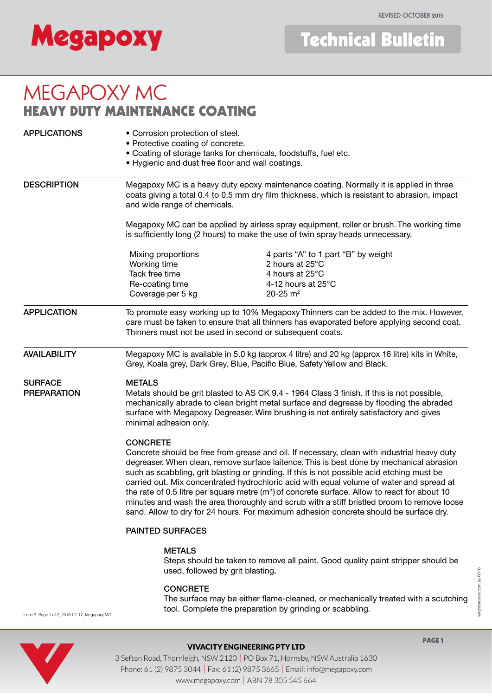# **Megapoxy**

## MEGAPOXY MC HEAVY DUTY MAINTENANCE COATING

| <b>APPLICATIONS</b>                                                                                | • Corrosion protection of steel.<br>• Protective coating of concrete.<br>• Coating of storage tanks for chemicals, foodstuffs, fuel etc.<br>• Hygienic and dust free floor and wall coatings.                                                   |                                                                                                                                                                                                                                                                                                                                                                                                                                                                                                                                                                                                                                                                                                                                                                      |  |
|----------------------------------------------------------------------------------------------------|-------------------------------------------------------------------------------------------------------------------------------------------------------------------------------------------------------------------------------------------------|----------------------------------------------------------------------------------------------------------------------------------------------------------------------------------------------------------------------------------------------------------------------------------------------------------------------------------------------------------------------------------------------------------------------------------------------------------------------------------------------------------------------------------------------------------------------------------------------------------------------------------------------------------------------------------------------------------------------------------------------------------------------|--|
| <b>DESCRIPTION</b>                                                                                 | Megapoxy MC is a heavy duty epoxy maintenance coating. Normally it is applied in three<br>coats giving a total 0.4 to 0.5 mm dry film thickness, which is resistant to abrasion, impact<br>and wide range of chemicals.                         |                                                                                                                                                                                                                                                                                                                                                                                                                                                                                                                                                                                                                                                                                                                                                                      |  |
|                                                                                                    | Megapoxy MC can be applied by airless spray equipment, roller or brush. The working time<br>is sufficiently long (2 hours) to make the use of twin spray heads unnecessary.                                                                     |                                                                                                                                                                                                                                                                                                                                                                                                                                                                                                                                                                                                                                                                                                                                                                      |  |
|                                                                                                    | Mixing proportions<br>Working time<br>Tack free time<br>Re-coating time<br>Coverage per 5 kg                                                                                                                                                    | 4 parts "A" to 1 part "B" by weight<br>2 hours at 25°C<br>4 hours at 25°C<br>4-12 hours at 25°C<br>20-25 $m2$                                                                                                                                                                                                                                                                                                                                                                                                                                                                                                                                                                                                                                                        |  |
| <b>APPLICATION</b>                                                                                 | To promote easy working up to 10% Megapoxy Thinners can be added to the mix. However,<br>care must be taken to ensure that all thinners has evaporated before applying second coat.<br>Thinners must not be used in second or subsequent coats. |                                                                                                                                                                                                                                                                                                                                                                                                                                                                                                                                                                                                                                                                                                                                                                      |  |
| <b>AVAILABILITY</b>                                                                                | Megapoxy MC is available in 5.0 kg (approx 4 litre) and 20 kg (approx 16 litre) kits in White,<br>Grey, Koala grey, Dark Grey, Blue, Pacific Blue, Safety Yellow and Black.                                                                     |                                                                                                                                                                                                                                                                                                                                                                                                                                                                                                                                                                                                                                                                                                                                                                      |  |
| <b>SURFACE</b><br><b>METALS</b><br><b>PREPARATION</b><br>minimal adhesion only.<br><b>CONCRETE</b> |                                                                                                                                                                                                                                                 | Metals should be grit blasted to AS CK 9.4 - 1964 Class 3 finish. If this is not possible,<br>mechanically abrade to clean bright metal surface and degrease by flooding the abraded<br>surface with Megapoxy Degreaser. Wire brushing is not entirely satisfactory and gives<br>Concrete should be free from grease and oil. If necessary, clean with industrial heavy duty<br>degreaser. When clean, remove surface laitence. This is best done by mechanical abrasion<br>such as scabbling, grit blasting or grinding. If this is not possible acid etching must be<br>carried out. Mix concentrated hydrochloric acid with equal volume of water and spread at<br>the rate of 0.5 litre per square metre $(m2)$ of concrete surface. Allow to react for about 10 |  |
|                                                                                                    | minutes and wash the area thoroughly and scrub with a stiff bristled broom to remove loose<br>sand. Allow to dry for 24 hours. For maximum adhesion concrete should be surface dry.                                                             |                                                                                                                                                                                                                                                                                                                                                                                                                                                                                                                                                                                                                                                                                                                                                                      |  |
|                                                                                                    | <b>PAINTED SURFACES</b>                                                                                                                                                                                                                         |                                                                                                                                                                                                                                                                                                                                                                                                                                                                                                                                                                                                                                                                                                                                                                      |  |
|                                                                                                    | <b>METALS</b><br>Steps should be taken to remove all paint. Good quality paint stripper should be<br>used, followed by grit blasting.                                                                                                           |                                                                                                                                                                                                                                                                                                                                                                                                                                                                                                                                                                                                                                                                                                                                                                      |  |
|                                                                                                    | <b>CONCRETE</b>                                                                                                                                                                                                                                 |                                                                                                                                                                                                                                                                                                                                                                                                                                                                                                                                                                                                                                                                                                                                                                      |  |

 The surface may be either flame-cleaned, or mechanically treated with a scutching tool. Complete the preparation by grinding or scabbling.

Issue 3, Page 1 of 2, 2016-02-17, Megapoxy MC



## VIVACITY ENGINEERING PTY LTD

wrightcreative.com.au 0316

wrightcreative.com.au 0316

3 Sefton Road, Thornleigh, NSW 2120 | PO Box 71, Hornsby, NSW Australia 1630 Phone: 61 (2) 9875 3044 | Fax: 61 (2) 9875 3665 | Email: info@megapoxy.com www.megapoxy.com | ABN 78 305 545 664